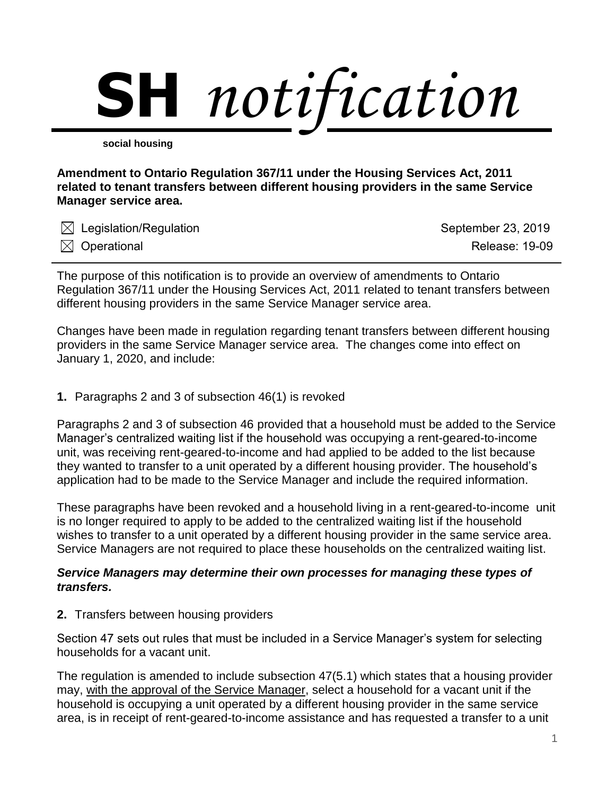

**social housing**

**Amendment to Ontario Regulation 367/11 under the Housing Services Act, 2011 related to tenant transfers between different housing providers in the same Service Manager service area.**

| $\boxtimes$ Legislation/Regulation | September 23, 2019    |
|------------------------------------|-----------------------|
| $\boxtimes$ Operational            | <b>Release: 19-09</b> |

The purpose of this notification is to provide an overview of amendments to Ontario Regulation 367/11 under the Housing Services Act, 2011 related to tenant transfers between different housing providers in the same Service Manager service area.

Changes have been made in regulation regarding tenant transfers between different housing providers in the same Service Manager service area. The changes come into effect on January 1, 2020, and include:

## **1.** Paragraphs 2 and 3 of subsection 46(1) is revoked

Paragraphs 2 and 3 of subsection 46 provided that a household must be added to the Service Manager's centralized waiting list if the household was occupying a rent-geared-to-income unit, was receiving rent-geared-to-income and had applied to be added to the list because they wanted to transfer to a unit operated by a different housing provider. The household's application had to be made to the Service Manager and include the required information.

These paragraphs have been revoked and a household living in a rent-geared-to-income unit is no longer required to apply to be added to the centralized waiting list if the household wishes to transfer to a unit operated by a different housing provider in the same service area. Service Managers are not required to place these households on the centralized waiting list.

## *Service Managers may determine their own processes for managing these types of transfers.*

**2.** Transfers between housing providers

Section 47 sets out rules that must be included in a Service Manager's system for selecting households for a vacant unit.

The regulation is amended to include subsection 47(5.1) which states that a housing provider may, with the approval of the Service Manager, select a household for a vacant unit if the household is occupying a unit operated by a different housing provider in the same service area, is in receipt of rent-geared-to-income assistance and has requested a transfer to a unit